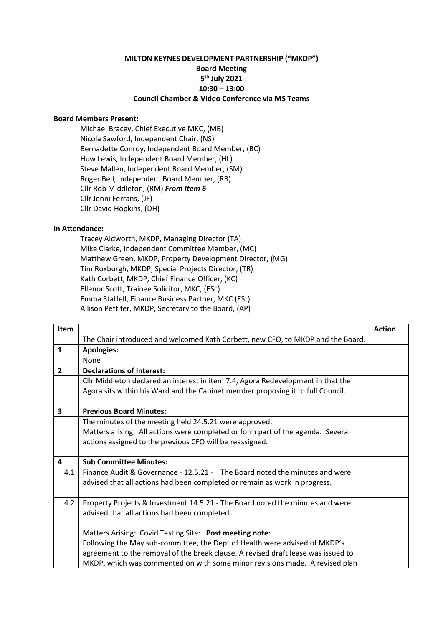## **MILTON KEYNES DEVELOPMENT PARTNERSHIP ("MKDP") Board Meeting 5 th July 2021 10:30 – 13:00 Council Chamber & Video Conference via MS Teams**

## **Board Members Present:**

Michael Bracey, Chief Executive MKC, (MB) Nicola Sawford, Independent Chair, (NS) Bernadette Conroy, Independent Board Member, (BC) Huw Lewis, Independent Board Member, (HL) Steve Mallen, Independent Board Member, (SM) Roger Bell, Independent Board Member, (RB) Cllr Rob Middleton, (RM) *From Item 6* Cllr Jenni Ferrans, (JF) Cllr David Hopkins, (DH)

## **In Attendance:**

Tracey Aldworth, MKDP, Managing Director (TA) Mike Clarke, Independent Committee Member, (MC) Matthew Green, MKDP, Property Development Director, (MG) Tim Roxburgh, MKDP, Special Projects Director, (TR) Kath Corbett, MKDP, Chief Finance Officer, (KC) Ellenor Scott, Trainee Solicitor, MKC, (ESc) Emma Staffell, Finance Business Partner, MKC (ESt) Allison Pettifer, MKDP, Secretary to the Board, (AP)

| <b>Item</b>             |                                                                                   | <b>Action</b> |
|-------------------------|-----------------------------------------------------------------------------------|---------------|
|                         | The Chair introduced and welcomed Kath Corbett, new CFO, to MKDP and the Board.   |               |
| $\mathbf{1}$            | <b>Apologies:</b>                                                                 |               |
|                         | None                                                                              |               |
| $\overline{2}$          | <b>Declarations of Interest:</b>                                                  |               |
|                         | Cllr Middleton declared an interest in item 7.4, Agora Redevelopment in that the  |               |
|                         | Agora sits within his Ward and the Cabinet member proposing it to full Council.   |               |
|                         |                                                                                   |               |
| 3                       | <b>Previous Board Minutes:</b>                                                    |               |
|                         | The minutes of the meeting held 24.5.21 were approved.                            |               |
|                         | Matters arising: All actions were completed or form part of the agenda. Several   |               |
|                         | actions assigned to the previous CFO will be reassigned.                          |               |
|                         |                                                                                   |               |
| $\overline{\mathbf{4}}$ | <b>Sub Committee Minutes:</b>                                                     |               |
| 4.1                     | Finance Audit & Governance - 12.5.21 - The Board noted the minutes and were       |               |
|                         | advised that all actions had been completed or remain as work in progress.        |               |
|                         |                                                                                   |               |
| 4.2                     | Property Projects & Investment 14.5.21 - The Board noted the minutes and were     |               |
|                         | advised that all actions had been completed.                                      |               |
|                         |                                                                                   |               |
|                         | Matters Arising: Covid Testing Site: Post meeting note:                           |               |
|                         | Following the May sub-committee, the Dept of Health were advised of MKDP's        |               |
|                         | agreement to the removal of the break clause. A revised draft lease was issued to |               |
|                         | MKDP, which was commented on with some minor revisions made. A revised plan       |               |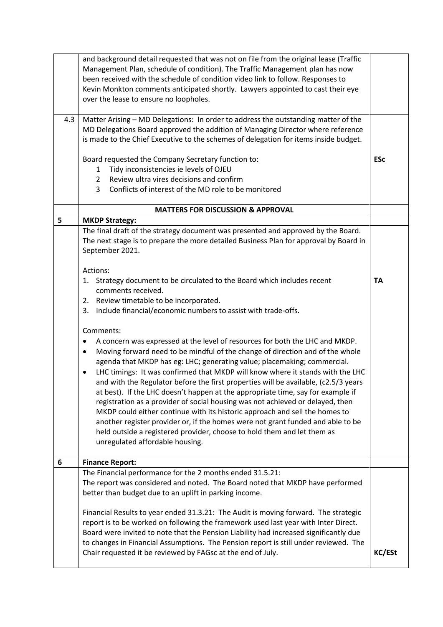| 4.3 | and background detail requested that was not on file from the original lease (Traffic<br>Management Plan, schedule of condition). The Traffic Management plan has now<br>been received with the schedule of condition video link to follow. Responses to<br>Kevin Monkton comments anticipated shortly. Lawyers appointed to cast their eye<br>over the lease to ensure no loopholes.<br>Matter Arising - MD Delegations: In order to address the outstanding matter of the<br>MD Delegations Board approved the addition of Managing Director where reference<br>is made to the Chief Executive to the schemes of delegation for items inside budget.                                                                                                                                                                                                                                            |               |
|-----|---------------------------------------------------------------------------------------------------------------------------------------------------------------------------------------------------------------------------------------------------------------------------------------------------------------------------------------------------------------------------------------------------------------------------------------------------------------------------------------------------------------------------------------------------------------------------------------------------------------------------------------------------------------------------------------------------------------------------------------------------------------------------------------------------------------------------------------------------------------------------------------------------|---------------|
|     | Board requested the Company Secretary function to:<br>Tidy inconsistencies ie levels of OJEU<br>1                                                                                                                                                                                                                                                                                                                                                                                                                                                                                                                                                                                                                                                                                                                                                                                                 | <b>ESc</b>    |
|     | Review ultra vires decisions and confirm<br>$2^{\circ}$<br>Conflicts of interest of the MD role to be monitored<br>3                                                                                                                                                                                                                                                                                                                                                                                                                                                                                                                                                                                                                                                                                                                                                                              |               |
|     | <b>MATTERS FOR DISCUSSION &amp; APPROVAL</b>                                                                                                                                                                                                                                                                                                                                                                                                                                                                                                                                                                                                                                                                                                                                                                                                                                                      |               |
| 5   | <b>MKDP Strategy:</b>                                                                                                                                                                                                                                                                                                                                                                                                                                                                                                                                                                                                                                                                                                                                                                                                                                                                             |               |
|     | The final draft of the strategy document was presented and approved by the Board.<br>The next stage is to prepare the more detailed Business Plan for approval by Board in<br>September 2021.                                                                                                                                                                                                                                                                                                                                                                                                                                                                                                                                                                                                                                                                                                     |               |
|     | Actions:<br>1. Strategy document to be circulated to the Board which includes recent<br>comments received.<br>2. Review timetable to be incorporated.<br>Include financial/economic numbers to assist with trade-offs.<br>3.                                                                                                                                                                                                                                                                                                                                                                                                                                                                                                                                                                                                                                                                      | <b>TA</b>     |
|     | Comments:<br>A concern was expressed at the level of resources for both the LHC and MKDP.<br>Moving forward need to be mindful of the change of direction and of the whole<br>$\bullet$<br>agenda that MKDP has eg: LHC; generating value; placemaking; commercial.<br>LHC timings: It was confirmed that MKDP will know where it stands with the LHC<br>and with the Regulator before the first properties will be available, (c2.5/3 years<br>at best). If the LHC doesn't happen at the appropriate time, say for example if<br>registration as a provider of social housing was not achieved or delayed, then<br>MKDP could either continue with its historic approach and sell the homes to<br>another register provider or, if the homes were not grant funded and able to be<br>held outside a registered provider, choose to hold them and let them as<br>unregulated affordable housing. |               |
| 6   | <b>Finance Report:</b>                                                                                                                                                                                                                                                                                                                                                                                                                                                                                                                                                                                                                                                                                                                                                                                                                                                                            |               |
|     | The Financial performance for the 2 months ended 31.5.21:<br>The report was considered and noted. The Board noted that MKDP have performed<br>better than budget due to an uplift in parking income.<br>Financial Results to year ended 31.3.21: The Audit is moving forward. The strategic<br>report is to be worked on following the framework used last year with Inter Direct.<br>Board were invited to note that the Pension Liability had increased significantly due<br>to changes in Financial Assumptions. The Pension report is still under reviewed. The                                                                                                                                                                                                                                                                                                                               |               |
|     | Chair requested it be reviewed by FAGsc at the end of July.                                                                                                                                                                                                                                                                                                                                                                                                                                                                                                                                                                                                                                                                                                                                                                                                                                       | <b>KC/ESt</b> |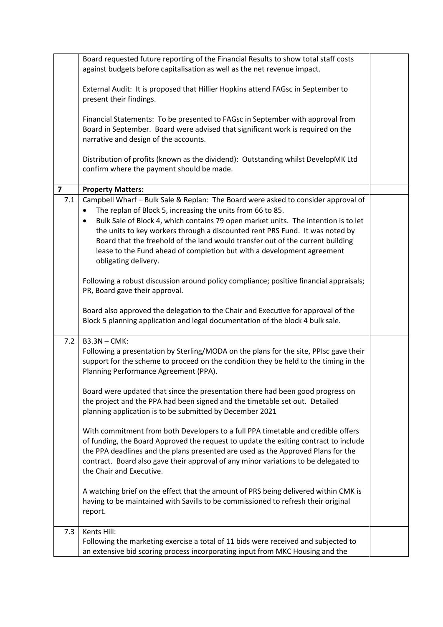|                         | Board requested future reporting of the Financial Results to show total staff costs<br>against budgets before capitalisation as well as the net revenue impact.                                                                                                                                                                                                                 |  |
|-------------------------|---------------------------------------------------------------------------------------------------------------------------------------------------------------------------------------------------------------------------------------------------------------------------------------------------------------------------------------------------------------------------------|--|
|                         | External Audit: It is proposed that Hillier Hopkins attend FAGsc in September to<br>present their findings.                                                                                                                                                                                                                                                                     |  |
|                         | Financial Statements: To be presented to FAGsc in September with approval from<br>Board in September. Board were advised that significant work is required on the<br>narrative and design of the accounts.                                                                                                                                                                      |  |
|                         | Distribution of profits (known as the dividend): Outstanding whilst DevelopMK Ltd<br>confirm where the payment should be made.                                                                                                                                                                                                                                                  |  |
| $\overline{\mathbf{z}}$ | <b>Property Matters:</b>                                                                                                                                                                                                                                                                                                                                                        |  |
| 7.1                     | Campbell Wharf - Bulk Sale & Replan: The Board were asked to consider approval of                                                                                                                                                                                                                                                                                               |  |
|                         | The replan of Block 5, increasing the units from 66 to 85.<br>$\bullet$                                                                                                                                                                                                                                                                                                         |  |
|                         | Bulk Sale of Block 4, which contains 79 open market units. The intention is to let<br>$\bullet$                                                                                                                                                                                                                                                                                 |  |
|                         | the units to key workers through a discounted rent PRS Fund. It was noted by                                                                                                                                                                                                                                                                                                    |  |
|                         | Board that the freehold of the land would transfer out of the current building                                                                                                                                                                                                                                                                                                  |  |
|                         | lease to the Fund ahead of completion but with a development agreement<br>obligating delivery.                                                                                                                                                                                                                                                                                  |  |
|                         | Following a robust discussion around policy compliance; positive financial appraisals;                                                                                                                                                                                                                                                                                          |  |
|                         | PR, Board gave their approval.                                                                                                                                                                                                                                                                                                                                                  |  |
|                         |                                                                                                                                                                                                                                                                                                                                                                                 |  |
|                         | Board also approved the delegation to the Chair and Executive for approval of the<br>Block 5 planning application and legal documentation of the block 4 bulk sale.                                                                                                                                                                                                             |  |
| 7.2                     | <b>B3.3N-CMK:</b>                                                                                                                                                                                                                                                                                                                                                               |  |
|                         | Following a presentation by Sterling/MODA on the plans for the site, PPIsc gave their<br>support for the scheme to proceed on the condition they be held to the timing in the<br>Planning Performance Agreement (PPA).                                                                                                                                                          |  |
|                         | Board were updated that since the presentation there had been good progress on<br>the project and the PPA had been signed and the timetable set out. Detailed<br>planning application is to be submitted by December 2021                                                                                                                                                       |  |
|                         | With commitment from both Developers to a full PPA timetable and credible offers<br>of funding, the Board Approved the request to update the exiting contract to include<br>the PPA deadlines and the plans presented are used as the Approved Plans for the<br>contract. Board also gave their approval of any minor variations to be delegated to<br>the Chair and Executive. |  |
|                         | A watching brief on the effect that the amount of PRS being delivered within CMK is<br>having to be maintained with Savills to be commissioned to refresh their original<br>report.                                                                                                                                                                                             |  |
| 7.3                     | Kents Hill:                                                                                                                                                                                                                                                                                                                                                                     |  |
|                         | Following the marketing exercise a total of 11 bids were received and subjected to                                                                                                                                                                                                                                                                                              |  |
|                         | an extensive bid scoring process incorporating input from MKC Housing and the                                                                                                                                                                                                                                                                                                   |  |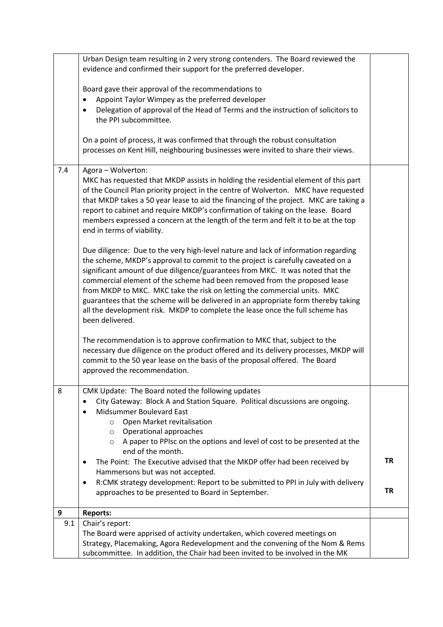|     | Urban Design team resulting in 2 very strong contenders. The Board reviewed the<br>evidence and confirmed their support for the preferred developer.                                                                                                                                                                                                                                                                                                                                                                                                                                                       |           |
|-----|------------------------------------------------------------------------------------------------------------------------------------------------------------------------------------------------------------------------------------------------------------------------------------------------------------------------------------------------------------------------------------------------------------------------------------------------------------------------------------------------------------------------------------------------------------------------------------------------------------|-----------|
|     | Board gave their approval of the recommendations to<br>Appoint Taylor Wimpey as the preferred developer<br>Delegation of approval of the Head of Terms and the instruction of solicitors to<br>the PPI subcommittee.                                                                                                                                                                                                                                                                                                                                                                                       |           |
|     | On a point of process, it was confirmed that through the robust consultation<br>processes on Kent Hill, neighbouring businesses were invited to share their views.                                                                                                                                                                                                                                                                                                                                                                                                                                         |           |
| 7.4 | Agora - Wolverton:<br>MKC has requested that MKDP assists in holding the residential element of this part<br>of the Council Plan priority project in the centre of Wolverton. MKC have requested<br>that MKDP takes a 50 year lease to aid the financing of the project. MKC are taking a<br>report to cabinet and require MKDP's confirmation of taking on the lease. Board<br>members expressed a concern at the length of the term and felt it to be at the top<br>end in terms of viability.                                                                                                           |           |
|     | Due diligence: Due to the very high-level nature and lack of information regarding<br>the scheme, MKDP's approval to commit to the project is carefully caveated on a<br>significant amount of due diligence/guarantees from MKC. It was noted that the<br>commercial element of the scheme had been removed from the proposed lease<br>from MKDP to MKC. MKC take the risk on letting the commercial units. MKC<br>guarantees that the scheme will be delivered in an appropriate form thereby taking<br>all the development risk. MKDP to complete the lease once the full scheme has<br>been delivered. |           |
|     | The recommendation is to approve confirmation to MKC that, subject to the<br>necessary due diligence on the product offered and its delivery processes, MKDP will<br>commit to the 50 year lease on the basis of the proposal offered. The Board<br>approved the recommendation.                                                                                                                                                                                                                                                                                                                           |           |
| 8   | CMK Update: The Board noted the following updates<br>City Gateway: Block A and Station Square. Political discussions are ongoing.<br>Midsummer Boulevard East<br>Open Market revitalisation<br>$\circ$<br>Operational approaches<br>O<br>A paper to PPIsc on the options and level of cost to be presented at the<br>$\circ$                                                                                                                                                                                                                                                                               |           |
|     | end of the month.<br>The Point: The Executive advised that the MKDP offer had been received by<br>٠<br>Hammersons but was not accepted.<br>R:CMK strategy development: Report to be submitted to PPI in July with delivery<br>٠                                                                                                                                                                                                                                                                                                                                                                            | <b>TR</b> |
|     | approaches to be presented to Board in September.                                                                                                                                                                                                                                                                                                                                                                                                                                                                                                                                                          | <b>TR</b> |
| 9   | <b>Reports:</b>                                                                                                                                                                                                                                                                                                                                                                                                                                                                                                                                                                                            |           |
| 9.1 | Chair's report:<br>The Board were apprised of activity undertaken, which covered meetings on<br>Strategy, Placemaking, Agora Redevelopment and the convening of the Nom & Rems<br>subcommittee. In addition, the Chair had been invited to be involved in the MK                                                                                                                                                                                                                                                                                                                                           |           |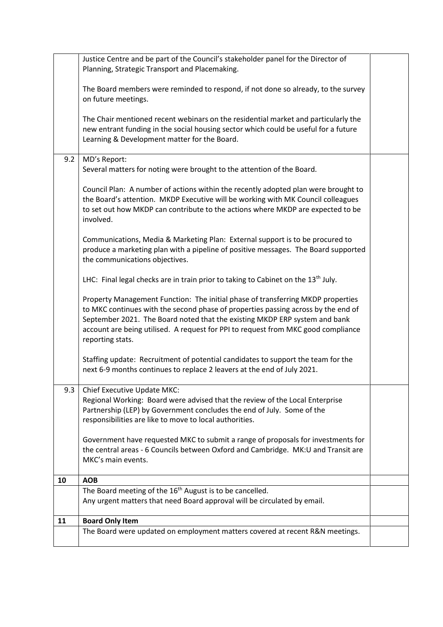|     | Justice Centre and be part of the Council's stakeholder panel for the Director of<br>Planning, Strategic Transport and Placemaking.                                                                                                                                                                                                                         |  |
|-----|-------------------------------------------------------------------------------------------------------------------------------------------------------------------------------------------------------------------------------------------------------------------------------------------------------------------------------------------------------------|--|
|     | The Board members were reminded to respond, if not done so already, to the survey<br>on future meetings.                                                                                                                                                                                                                                                    |  |
|     |                                                                                                                                                                                                                                                                                                                                                             |  |
|     | The Chair mentioned recent webinars on the residential market and particularly the<br>new entrant funding in the social housing sector which could be useful for a future<br>Learning & Development matter for the Board.                                                                                                                                   |  |
| 9.2 | MD's Report:                                                                                                                                                                                                                                                                                                                                                |  |
|     | Several matters for noting were brought to the attention of the Board.                                                                                                                                                                                                                                                                                      |  |
|     | Council Plan: A number of actions within the recently adopted plan were brought to<br>the Board's attention. MKDP Executive will be working with MK Council colleagues<br>to set out how MKDP can contribute to the actions where MKDP are expected to be<br>involved.                                                                                      |  |
|     | Communications, Media & Marketing Plan: External support is to be procured to<br>produce a marketing plan with a pipeline of positive messages. The Board supported<br>the communications objectives.                                                                                                                                                       |  |
|     | LHC: Final legal checks are in train prior to taking to Cabinet on the $13th$ July.                                                                                                                                                                                                                                                                         |  |
|     | Property Management Function: The initial phase of transferring MKDP properties<br>to MKC continues with the second phase of properties passing across by the end of<br>September 2021. The Board noted that the existing MKDP ERP system and bank<br>account are being utilised. A request for PPI to request from MKC good compliance<br>reporting stats. |  |
|     | Staffing update: Recruitment of potential candidates to support the team for the<br>next 6-9 months continues to replace 2 leavers at the end of July 2021.                                                                                                                                                                                                 |  |
| 9.3 | Chief Executive Update MKC:<br>Regional Working: Board were advised that the review of the Local Enterprise<br>Partnership (LEP) by Government concludes the end of July. Some of the<br>responsibilities are like to move to local authorities.                                                                                                            |  |
|     | Government have requested MKC to submit a range of proposals for investments for<br>the central areas - 6 Councils between Oxford and Cambridge. MK: U and Transit are<br>MKC's main events.                                                                                                                                                                |  |
| 10  | <b>AOB</b>                                                                                                                                                                                                                                                                                                                                                  |  |
|     | The Board meeting of the 16 <sup>th</sup> August is to be cancelled.<br>Any urgent matters that need Board approval will be circulated by email.                                                                                                                                                                                                            |  |
| 11  | <b>Board Only Item</b>                                                                                                                                                                                                                                                                                                                                      |  |
|     | The Board were updated on employment matters covered at recent R&N meetings.                                                                                                                                                                                                                                                                                |  |